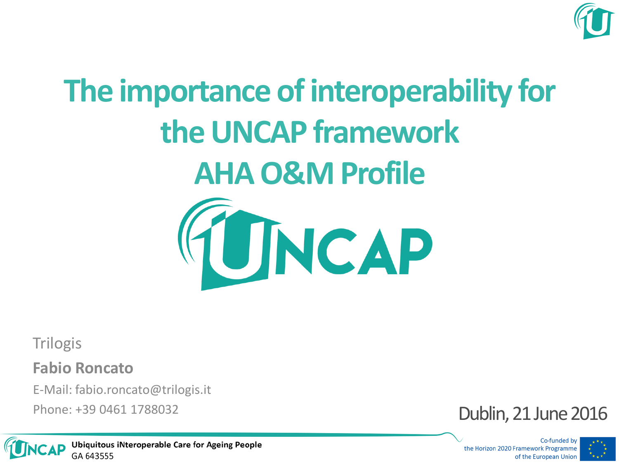

# **The importance of interoperability for the UNCAP framework AHA O&M Profile**



**Trilogis** 

**Fabio Roncato**

E-Mail: fabio.roncato@trilogis.it



Co-funded by the Horizon 2020 Framework Programme of the European Union



**Ubiquitous iNteroperable Care for Ageing People** GA 643555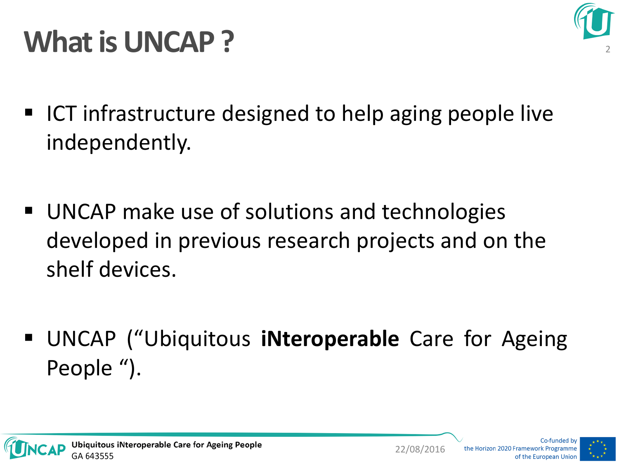

### **What is UNCAP?**

- ICT infrastructure designed to help aging people live independently.
- UNCAP make use of solutions and technologies developed in previous research projects and on the shelf devices.
- UNCAP ("Ubiquitous **iNteroperable** Care for Ageing People ").



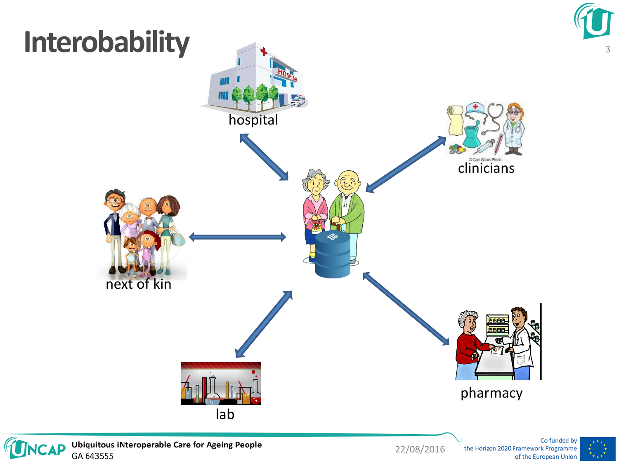



22/08/2016 the Horizon 2020 Framework Programme

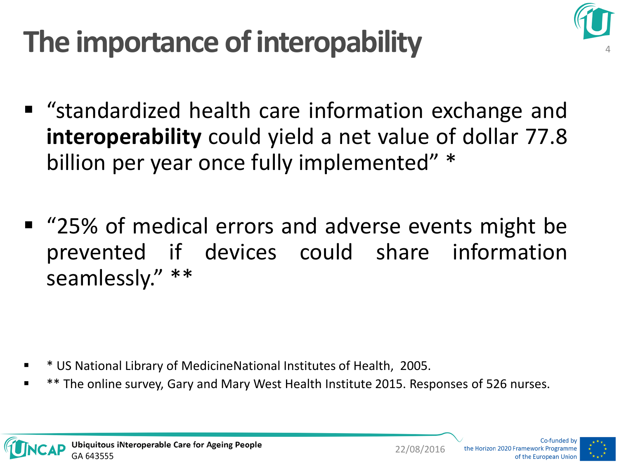### **The importance of interopability**



- "standardized health care information exchange and **interoperability** could yield a net value of dollar 77.8 billion per year once fully implemented" \*
- "25% of medical errors and adverse events might be prevented if devices could share information seamlessly." \*\*

- \* US National Library of MedicineNational Institutes of Health, 2005.
- \*\* The online survey, Gary and Mary West Health Institute 2015. Responses of 526 nurses.

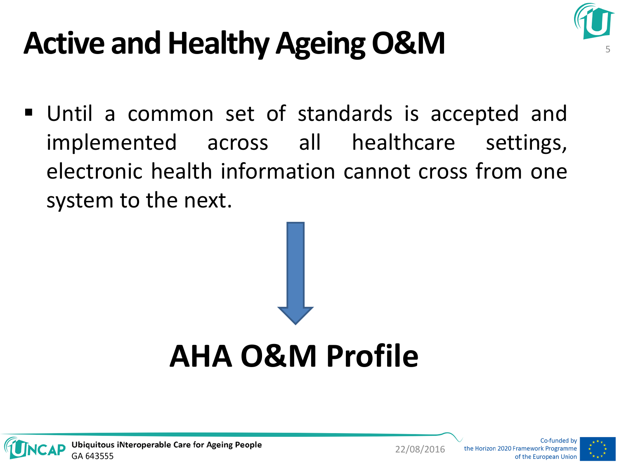

## **Active and Healthy Ageing O&M**

 Until a common set of standards is accepted and implemented across all healthcare settings, electronic health information cannot cross from one system to the next.







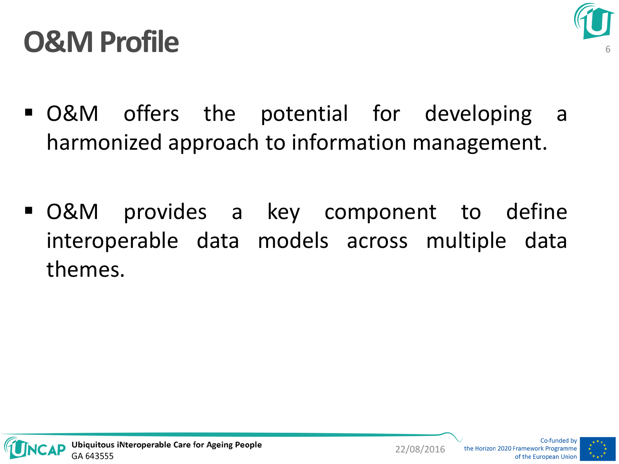#### **O&M Profile**



- O&M offers the potential for developing a harmonized approach to information management.
- O&M provides a key component to define interoperable data models across multiple data themes.



22/08/2016 the Horizon 2020 Framework Programme

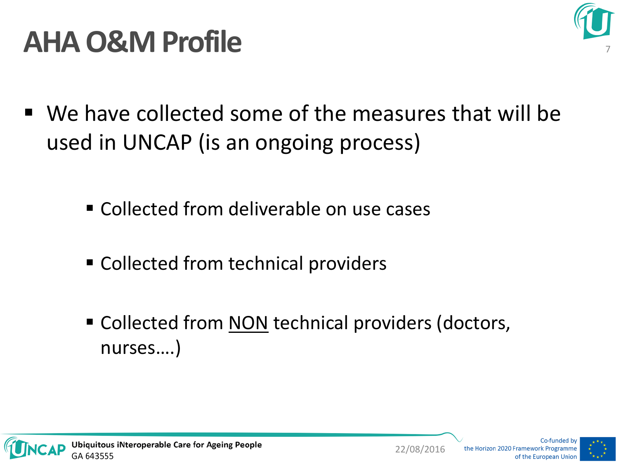

#### **AHA O&M Profile**

- We have collected some of the measures that will be used in UNCAP (is an ongoing process)
	- **E** Collected from deliverable on use cases
	- Collected from technical providers
	- Collected from NON technical providers (doctors, nurses….)

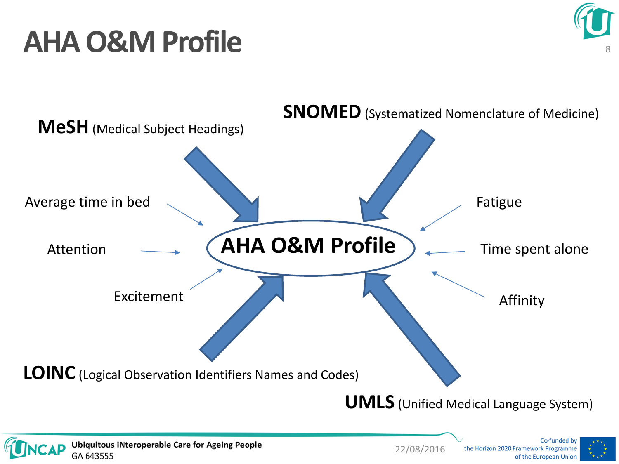### **AHA O&M Profile**





**Ubiquitous iNteroperable Care for Ageing People** GA 643555



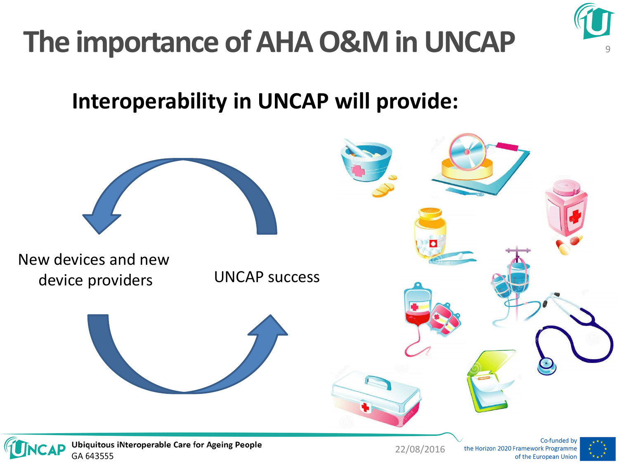

### **The importance of AHA O&M in UNCAP**

#### **Interoperability in UNCAP will provide:**



GA 643555